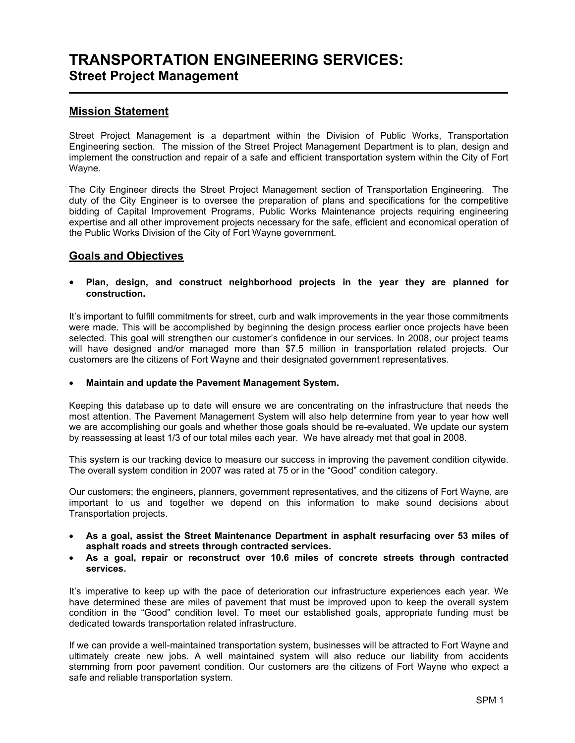## TRANSPORTATION ENGINEERING SERVICES: Street Project Management l

### Mission Statement

Street Project Management is a department within the Division of Public Works, Transportation Engineering section. The mission of the Street Project Management Department is to plan, design and implement the construction and repair of a safe and efficient transportation system within the City of Fort Wayne.

The City Engineer directs the Street Project Management section of Transportation Engineering. The duty of the City Engineer is to oversee the preparation of plans and specifications for the competitive bidding of Capital Improvement Programs, Public Works Maintenance projects requiring engineering expertise and all other improvement projects necessary for the safe, efficient and economical operation of the Public Works Division of the City of Fort Wayne government.

#### Goals and Objectives

• Plan, design, and construct neighborhood projects in the year they are planned for construction.

It's important to fulfill commitments for street, curb and walk improvements in the year those commitments were made. This will be accomplished by beginning the design process earlier once projects have been selected. This goal will strengthen our customer's confidence in our services. In 2008, our project teams will have designed and/or managed more than \$7.5 million in transportation related projects. Our customers are the citizens of Fort Wayne and their designated government representatives.

#### • Maintain and update the Pavement Management System.

Keeping this database up to date will ensure we are concentrating on the infrastructure that needs the most attention. The Pavement Management System will also help determine from year to year how well we are accomplishing our goals and whether those goals should be re-evaluated. We update our system by reassessing at least 1/3 of our total miles each year. We have already met that goal in 2008.

This system is our tracking device to measure our success in improving the pavement condition citywide. The overall system condition in 2007 was rated at 75 or in the "Good" condition category.

Our customers; the engineers, planners, government representatives, and the citizens of Fort Wayne, are important to us and together we depend on this information to make sound decisions about Transportation projects.

- As a goal, assist the Street Maintenance Department in asphalt resurfacing over 53 miles of asphalt roads and streets through contracted services.
- As a goal, repair or reconstruct over 10.6 miles of concrete streets through contracted services.

It's imperative to keep up with the pace of deterioration our infrastructure experiences each year. We have determined these are miles of pavement that must be improved upon to keep the overall system condition in the "Good" condition level. To meet our established goals, appropriate funding must be dedicated towards transportation related infrastructure.

If we can provide a well-maintained transportation system, businesses will be attracted to Fort Wayne and ultimately create new jobs. A well maintained system will also reduce our liability from accidents stemming from poor pavement condition. Our customers are the citizens of Fort Wayne who expect a safe and reliable transportation system.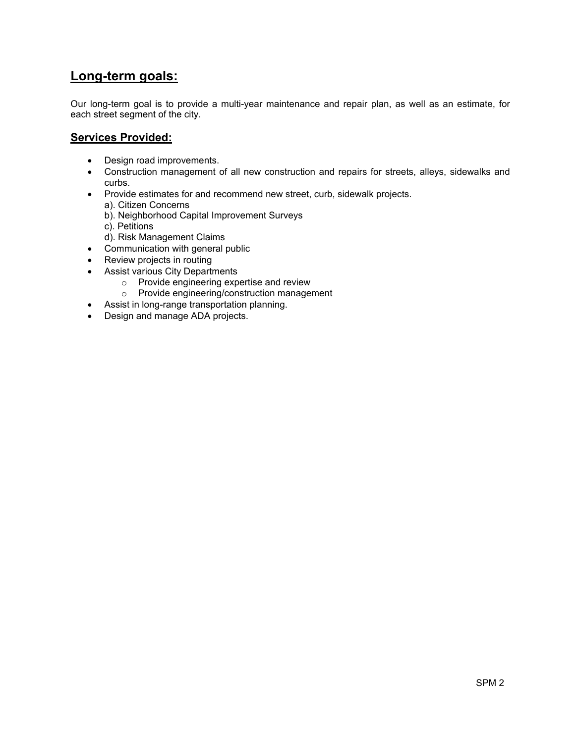# Long-term goals:

Our long-term goal is to provide a multi-year maintenance and repair plan, as well as an estimate, for each street segment of the city.

#### Services Provided:

- Design road improvements.
- Construction management of all new construction and repairs for streets, alleys, sidewalks and curbs.
- Provide estimates for and recommend new street, curb, sidewalk projects.
	- a). Citizen Concerns
	- b). Neighborhood Capital Improvement Surveys
	- c). Petitions
	- d). Risk Management Claims
- Communication with general public
- Review projects in routing
- Assist various City Departments
	- o Provide engineering expertise and review
	- o Provide engineering/construction management
- Assist in long-range transportation planning.
- Design and manage ADA projects.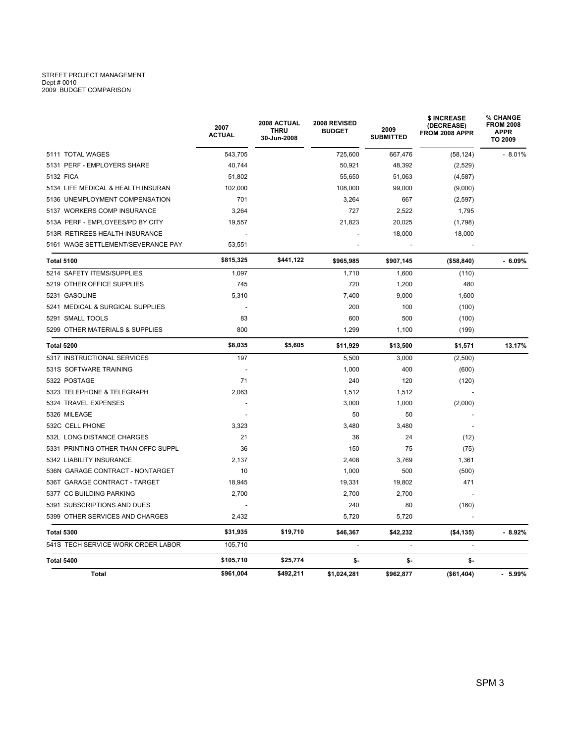# STREET PROJECT MANAGEMENT Dept # 0010 2009 BUDGET COMPARISON

|                                     | 2007<br><b>ACTUAL</b> | 2008 ACTUAL<br><b>THRU</b><br>30-Jun-2008 | 2008 REVISED<br><b>BUDGET</b> | 2009<br><b>SUBMITTED</b> | \$ INCREASE<br>(DECREASE)<br>FROM 2008 APPR | % CHANGE<br><b>FROM 2008</b><br><b>APPR</b><br>TO 2009 |  |
|-------------------------------------|-----------------------|-------------------------------------------|-------------------------------|--------------------------|---------------------------------------------|--------------------------------------------------------|--|
| 5111 TOTAL WAGES                    | 543,705               |                                           | 725,600                       | 667,476                  | (58, 124)                                   | $-8.01%$                                               |  |
| 5131 PERF - EMPLOYERS SHARE         | 40,744                |                                           | 50,921                        | 48,392                   | (2,529)                                     |                                                        |  |
| 5132 FICA                           | 51,802                |                                           | 55,650                        | 51,063                   | (4, 587)                                    |                                                        |  |
| 5134 LIFE MEDICAL & HEALTH INSURAN  | 102,000               |                                           | 108,000                       | 99,000                   | (9,000)                                     |                                                        |  |
| 5136 UNEMPLOYMENT COMPENSATION      | 701                   |                                           | 3,264                         | 667                      | (2,597)                                     |                                                        |  |
| 5137 WORKERS COMP INSURANCE         | 3,264                 |                                           | 727                           | 2,522                    | 1,795                                       |                                                        |  |
| 513A PERF - EMPLOYEES/PD BY CITY    | 19,557                |                                           | 21,823                        | 20,025                   | (1,798)                                     |                                                        |  |
| 513R RETIREES HEALTH INSURANCE      |                       |                                           |                               | 18,000                   | 18,000                                      |                                                        |  |
| 5161 WAGE SETTLEMENT/SEVERANCE PAY  | 53.551                |                                           |                               |                          |                                             |                                                        |  |
| <b>Total 5100</b>                   | \$815,325             | \$441,122                                 | \$965,985                     | \$907,145                | (\$58,840)                                  | $-6.09%$                                               |  |
| 5214 SAFETY ITEMS/SUPPLIES          | 1,097                 |                                           | 1,710                         | 1,600                    | (110)                                       |                                                        |  |
| 5219 OTHER OFFICE SUPPLIES          | 745                   |                                           | 720                           | 1,200                    | 480                                         |                                                        |  |
| 5231 GASOLINE                       | 5,310                 |                                           | 7,400                         | 9,000                    | 1,600                                       |                                                        |  |
| 5241 MEDICAL & SURGICAL SUPPLIES    |                       |                                           | 200                           | 100                      | (100)                                       |                                                        |  |
| 5291 SMALL TOOLS                    | 83                    |                                           | 600                           | 500                      | (100)                                       |                                                        |  |
| 5299 OTHER MATERIALS & SUPPLIES     | 800                   |                                           | 1,299                         | 1,100                    | (199)                                       |                                                        |  |
| Total 5200                          | \$8,035               | \$5,605                                   | \$11,929                      | \$13,500                 | \$1,571                                     | 13.17%                                                 |  |
| 5317 INSTRUCTIONAL SERVICES         | 197                   |                                           | 5,500                         | 3,000                    | (2,500)                                     |                                                        |  |
| 531S SOFTWARE TRAINING              |                       |                                           | 1,000                         | 400                      | (600)                                       |                                                        |  |
| 5322 POSTAGE                        | 71                    |                                           | 240                           | 120                      | (120)                                       |                                                        |  |
| 5323 TELEPHONE & TELEGRAPH          | 2,063                 |                                           | 1,512                         | 1,512                    |                                             |                                                        |  |
| 5324 TRAVEL EXPENSES                |                       |                                           | 3,000                         | 1,000                    | (2,000)                                     |                                                        |  |
| 5326 MILEAGE                        |                       |                                           | 50                            | 50                       |                                             |                                                        |  |
| 532C CELL PHONE                     | 3,323                 |                                           | 3,480                         | 3,480                    |                                             |                                                        |  |
| 532L LONG DISTANCE CHARGES          | 21                    |                                           | 36                            | 24                       | (12)                                        |                                                        |  |
| 5331 PRINTING OTHER THAN OFFC SUPPL | 36                    |                                           | 150                           | 75                       | (75)                                        |                                                        |  |
| 5342 LIABILITY INSURANCE            | 2,137                 |                                           | 2,408                         | 3,769                    | 1,361                                       |                                                        |  |
| 536N GARAGE CONTRACT - NONTARGET    | 10                    |                                           | 1,000                         | 500                      | (500)                                       |                                                        |  |
| 536T GARAGE CONTRACT - TARGET       | 18,945                |                                           | 19,331                        | 19,802                   | 471                                         |                                                        |  |
| 5377 CC BUILDING PARKING            | 2,700                 |                                           | 2,700                         | 2,700                    |                                             |                                                        |  |
| 5391 SUBSCRIPTIONS AND DUES         |                       |                                           | 240                           | 80                       | (160)                                       |                                                        |  |
| 5399 OTHER SERVICES AND CHARGES     | 2,432                 |                                           | 5,720                         | 5,720                    |                                             |                                                        |  |
| <b>Total 5300</b>                   | \$31,935              | \$19,710                                  | \$46,367                      | \$42,232                 | (\$4,135)                                   | $-8.92%$                                               |  |
| 541S TECH SERVICE WORK ORDER LABOR  | 105,710               |                                           |                               | $\sim$                   |                                             |                                                        |  |
| Total 5400                          | \$105,710             | \$25,774                                  | \$-                           | \$-                      | \$-                                         |                                                        |  |
| Total                               | \$961,004             | \$492,211                                 | \$1,024,281                   | \$962,877                | (\$61,404)                                  | $-5.99\%$                                              |  |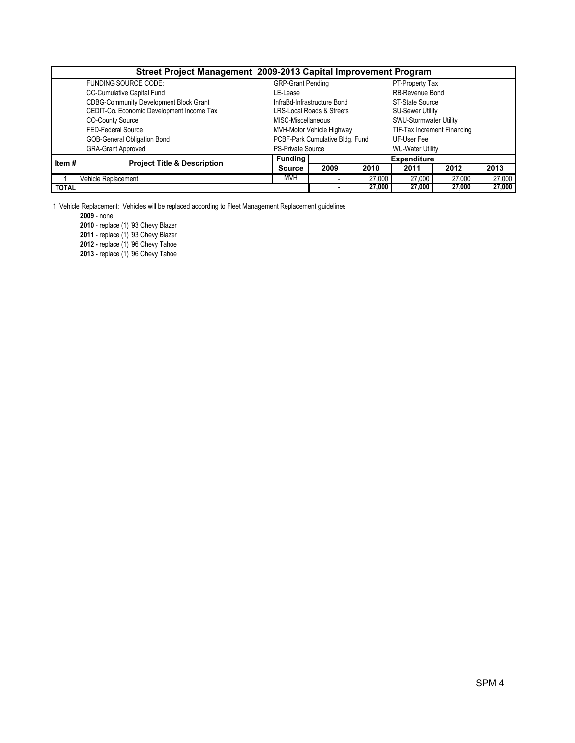| Street Project Management 2009-2013 Capital Improvement Program |                                               |                          |                                      |        |                               |        |        |  |  |  |
|-----------------------------------------------------------------|-----------------------------------------------|--------------------------|--------------------------------------|--------|-------------------------------|--------|--------|--|--|--|
|                                                                 | <b>FUNDING SOURCE CODE:</b>                   | <b>GRP-Grant Pending</b> |                                      |        | PT-Property Tax               |        |        |  |  |  |
|                                                                 | <b>CC-Cumulative Capital Fund</b>             | LE-Lease                 |                                      |        | <b>RB-Revenue Bond</b>        |        |        |  |  |  |
|                                                                 | <b>CDBG-Community Development Block Grant</b> |                          | InfraBd-Infrastructure Bond          |        | ST-State Source               |        |        |  |  |  |
|                                                                 | CEDIT-Co. Economic Development Income Tax     |                          | <b>LRS-Local Roads &amp; Streets</b> |        | <b>SU-Sewer Utility</b>       |        |        |  |  |  |
|                                                                 | <b>CO-County Source</b>                       | MISC-Miscellaneous       |                                      |        | <b>SWU-Stormwater Utility</b> |        |        |  |  |  |
|                                                                 | FED-Federal Source                            |                          | MVH-Motor Vehicle Highway            |        | TIF-Tax Increment Financing   |        |        |  |  |  |
|                                                                 | GOB-General Obligation Bond                   |                          | PCBF-Park Cumulative Bldg. Fund      |        | UF-User Fee                   |        |        |  |  |  |
|                                                                 | <b>GRA-Grant Approved</b>                     | <b>PS-Private Source</b> |                                      |        | <b>WU-Water Utility</b>       |        |        |  |  |  |
| Item $#$                                                        | <b>Project Title &amp; Description</b>        | <b>Funding</b>           | <b>Expenditure</b>                   |        |                               |        |        |  |  |  |
|                                                                 |                                               | <b>Source</b>            | 2009                                 | 2010   | 2011                          | 2012   | 2013   |  |  |  |
|                                                                 | Vehicle Replacement                           | <b>MVH</b>               | $\overline{\phantom{0}}$             | 27,000 | 27,000                        | 27,000 | 27,000 |  |  |  |
| <b>TOTAL</b>                                                    |                                               | $\blacksquare$           | 27,000                               | 27,000 | 27,000                        | 27,000 |        |  |  |  |

1. Vehicle Replacement: Vehicles will be replaced according to Fleet Management Replacement guidelines

2009 - none

2010 - replace (1) '93 Chevy Blazer

2011 - replace (1) '93 Chevy Blazer

2012 - replace (1) '96 Chevy Tahoe

2013 - replace (1) '96 Chevy Tahoe